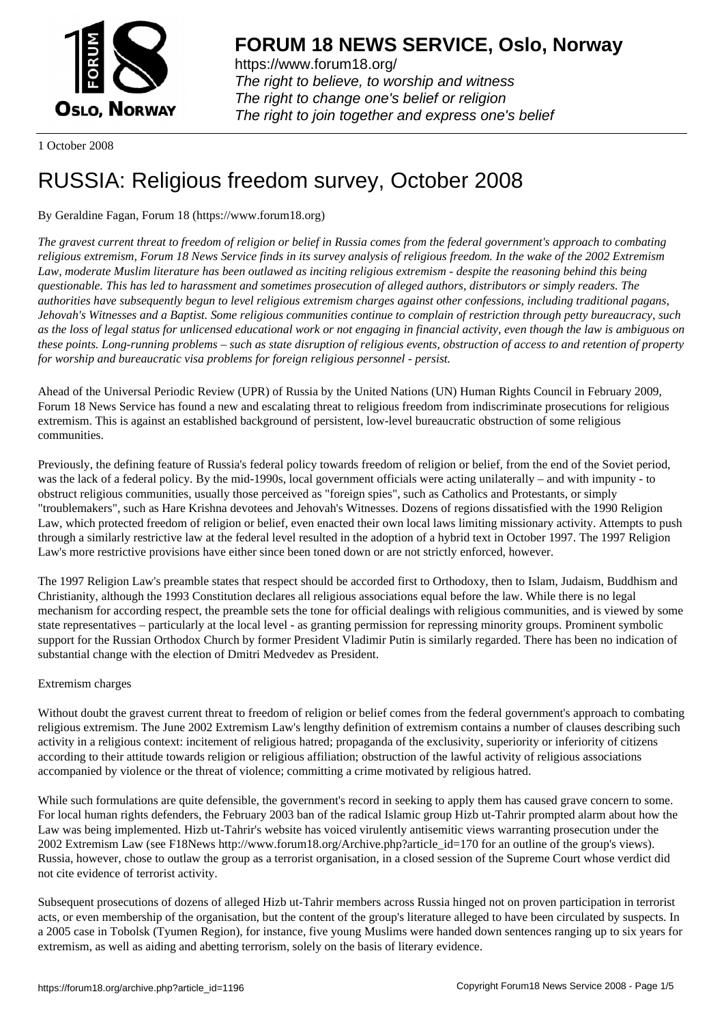

https://www.forum18.org/ The right to believe, to worship and witness The right to change one's belief or religion [The right to join together a](https://www.forum18.org/)nd express one's belief

1 October 2008

# [RUSSIA: Religi](https://www.forum18.org)ous freedom survey, October 2008

## By Geraldine Fagan, Forum 18 (https://www.forum18.org)

*The gravest current threat to freedom of religion or belief in Russia comes from the federal government's approach to combating religious extremism, Forum 18 News Service finds in its survey analysis of religious freedom. In the wake of the 2002 Extremism Law, moderate Muslim literature has been outlawed as inciting religious extremism - despite the reasoning behind this being questionable. This has led to harassment and sometimes prosecution of alleged authors, distributors or simply readers. The authorities have subsequently begun to level religious extremism charges against other confessions, including traditional pagans, Jehovah's Witnesses and a Baptist. Some religious communities continue to complain of restriction through petty bureaucracy, such as the loss of legal status for unlicensed educational work or not engaging in financial activity, even though the law is ambiguous on these points. Long-running problems – such as state disruption of religious events, obstruction of access to and retention of property for worship and bureaucratic visa problems for foreign religious personnel - persist.*

Ahead of the Universal Periodic Review (UPR) of Russia by the United Nations (UN) Human Rights Council in February 2009, Forum 18 News Service has found a new and escalating threat to religious freedom from indiscriminate prosecutions for religious extremism. This is against an established background of persistent, low-level bureaucratic obstruction of some religious communities.

Previously, the defining feature of Russia's federal policy towards freedom of religion or belief, from the end of the Soviet period, was the lack of a federal policy. By the mid-1990s, local government officials were acting unilaterally – and with impunity - to obstruct religious communities, usually those perceived as "foreign spies", such as Catholics and Protestants, or simply "troublemakers", such as Hare Krishna devotees and Jehovah's Witnesses. Dozens of regions dissatisfied with the 1990 Religion Law, which protected freedom of religion or belief, even enacted their own local laws limiting missionary activity. Attempts to push through a similarly restrictive law at the federal level resulted in the adoption of a hybrid text in October 1997. The 1997 Religion Law's more restrictive provisions have either since been toned down or are not strictly enforced, however.

The 1997 Religion Law's preamble states that respect should be accorded first to Orthodoxy, then to Islam, Judaism, Buddhism and Christianity, although the 1993 Constitution declares all religious associations equal before the law. While there is no legal mechanism for according respect, the preamble sets the tone for official dealings with religious communities, and is viewed by some state representatives – particularly at the local level - as granting permission for repressing minority groups. Prominent symbolic support for the Russian Orthodox Church by former President Vladimir Putin is similarly regarded. There has been no indication of substantial change with the election of Dmitri Medvedev as President.

## Extremism charges

Without doubt the gravest current threat to freedom of religion or belief comes from the federal government's approach to combating religious extremism. The June 2002 Extremism Law's lengthy definition of extremism contains a number of clauses describing such activity in a religious context: incitement of religious hatred; propaganda of the exclusivity, superiority or inferiority of citizens according to their attitude towards religion or religious affiliation; obstruction of the lawful activity of religious associations accompanied by violence or the threat of violence; committing a crime motivated by religious hatred.

While such formulations are quite defensible, the government's record in seeking to apply them has caused grave concern to some. For local human rights defenders, the February 2003 ban of the radical Islamic group Hizb ut-Tahrir prompted alarm about how the Law was being implemented. Hizb ut-Tahrir's website has voiced virulently antisemitic views warranting prosecution under the 2002 Extremism Law (see F18News http://www.forum18.org/Archive.php?article\_id=170 for an outline of the group's views). Russia, however, chose to outlaw the group as a terrorist organisation, in a closed session of the Supreme Court whose verdict did not cite evidence of terrorist activity.

Subsequent prosecutions of dozens of alleged Hizb ut-Tahrir members across Russia hinged not on proven participation in terrorist acts, or even membership of the organisation, but the content of the group's literature alleged to have been circulated by suspects. In a 2005 case in Tobolsk (Tyumen Region), for instance, five young Muslims were handed down sentences ranging up to six years for extremism, as well as aiding and abetting terrorism, solely on the basis of literary evidence.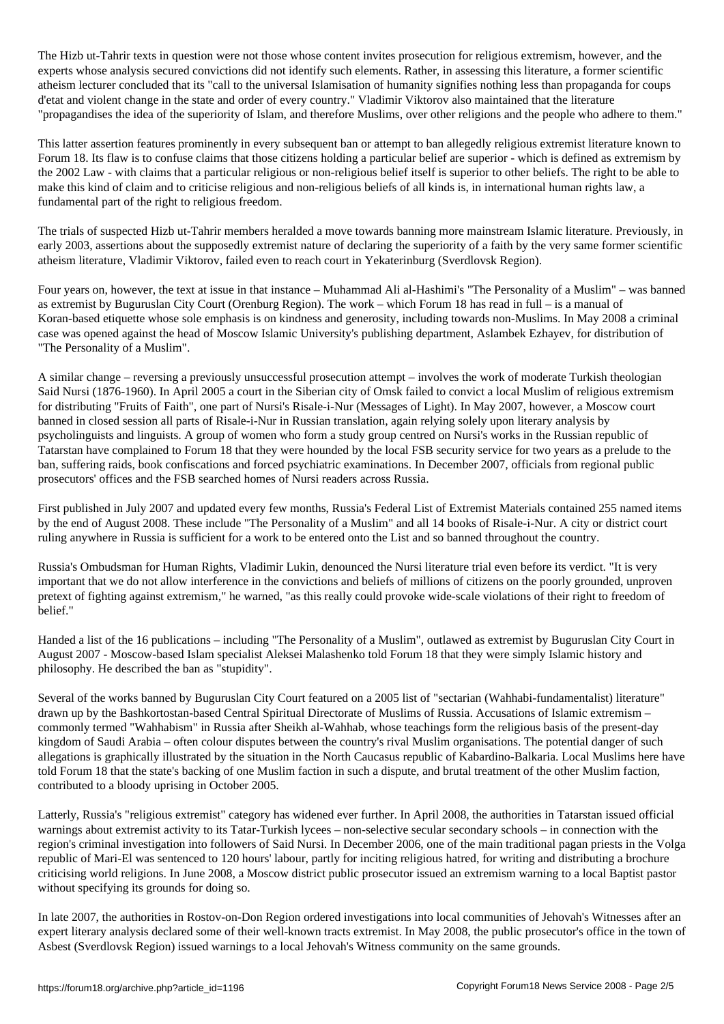The Hizb ut-Tahrir texts in question were not those content invites prosecution for  $\mu$ experts whose analysis secured convictions did not identify such elements. Rather, in assessing this literature, a former scientific atheism lecturer concluded that its "call to the universal Islamisation of humanity signifies nothing less than propaganda for coups d'etat and violent change in the state and order of every country." Vladimir Viktorov also maintained that the literature "propagandises the idea of the superiority of Islam, and therefore Muslims, over other religions and the people who adhere to them."

This latter assertion features prominently in every subsequent ban or attempt to ban allegedly religious extremist literature known to Forum 18. Its flaw is to confuse claims that those citizens holding a particular belief are superior - which is defined as extremism by the 2002 Law - with claims that a particular religious or non-religious belief itself is superior to other beliefs. The right to be able to make this kind of claim and to criticise religious and non-religious beliefs of all kinds is, in international human rights law, a fundamental part of the right to religious freedom.

The trials of suspected Hizb ut-Tahrir members heralded a move towards banning more mainstream Islamic literature. Previously, in early 2003, assertions about the supposedly extremist nature of declaring the superiority of a faith by the very same former scientific atheism literature, Vladimir Viktorov, failed even to reach court in Yekaterinburg (Sverdlovsk Region).

Four years on, however, the text at issue in that instance – Muhammad Ali al-Hashimi's "The Personality of a Muslim" – was banned as extremist by Buguruslan City Court (Orenburg Region). The work – which Forum 18 has read in full – is a manual of Koran-based etiquette whose sole emphasis is on kindness and generosity, including towards non-Muslims. In May 2008 a criminal case was opened against the head of Moscow Islamic University's publishing department, Aslambek Ezhayev, for distribution of "The Personality of a Muslim".

A similar change – reversing a previously unsuccessful prosecution attempt – involves the work of moderate Turkish theologian Said Nursi (1876-1960). In April 2005 a court in the Siberian city of Omsk failed to convict a local Muslim of religious extremism for distributing "Fruits of Faith", one part of Nursi's Risale-i-Nur (Messages of Light). In May 2007, however, a Moscow court banned in closed session all parts of Risale-i-Nur in Russian translation, again relying solely upon literary analysis by psycholinguists and linguists. A group of women who form a study group centred on Nursi's works in the Russian republic of Tatarstan have complained to Forum 18 that they were hounded by the local FSB security service for two years as a prelude to the ban, suffering raids, book confiscations and forced psychiatric examinations. In December 2007, officials from regional public prosecutors' offices and the FSB searched homes of Nursi readers across Russia.

First published in July 2007 and updated every few months, Russia's Federal List of Extremist Materials contained 255 named items by the end of August 2008. These include "The Personality of a Muslim" and all 14 books of Risale-i-Nur. A city or district court ruling anywhere in Russia is sufficient for a work to be entered onto the List and so banned throughout the country.

Russia's Ombudsman for Human Rights, Vladimir Lukin, denounced the Nursi literature trial even before its verdict. "It is very important that we do not allow interference in the convictions and beliefs of millions of citizens on the poorly grounded, unproven pretext of fighting against extremism," he warned, "as this really could provoke wide-scale violations of their right to freedom of belief."

Handed a list of the 16 publications – including "The Personality of a Muslim", outlawed as extremist by Buguruslan City Court in August 2007 - Moscow-based Islam specialist Aleksei Malashenko told Forum 18 that they were simply Islamic history and philosophy. He described the ban as "stupidity".

Several of the works banned by Buguruslan City Court featured on a 2005 list of "sectarian (Wahhabi-fundamentalist) literature" drawn up by the Bashkortostan-based Central Spiritual Directorate of Muslims of Russia. Accusations of Islamic extremism – commonly termed "Wahhabism" in Russia after Sheikh al-Wahhab, whose teachings form the religious basis of the present-day kingdom of Saudi Arabia – often colour disputes between the country's rival Muslim organisations. The potential danger of such allegations is graphically illustrated by the situation in the North Caucasus republic of Kabardino-Balkaria. Local Muslims here have told Forum 18 that the state's backing of one Muslim faction in such a dispute, and brutal treatment of the other Muslim faction, contributed to a bloody uprising in October 2005.

Latterly, Russia's "religious extremist" category has widened ever further. In April 2008, the authorities in Tatarstan issued official warnings about extremist activity to its Tatar-Turkish lycees – non-selective secular secondary schools – in connection with the region's criminal investigation into followers of Said Nursi. In December 2006, one of the main traditional pagan priests in the Volga republic of Mari-El was sentenced to 120 hours' labour, partly for inciting religious hatred, for writing and distributing a brochure criticising world religions. In June 2008, a Moscow district public prosecutor issued an extremism warning to a local Baptist pastor without specifying its grounds for doing so.

In late 2007, the authorities in Rostov-on-Don Region ordered investigations into local communities of Jehovah's Witnesses after an expert literary analysis declared some of their well-known tracts extremist. In May 2008, the public prosecutor's office in the town of Asbest (Sverdlovsk Region) issued warnings to a local Jehovah's Witness community on the same grounds.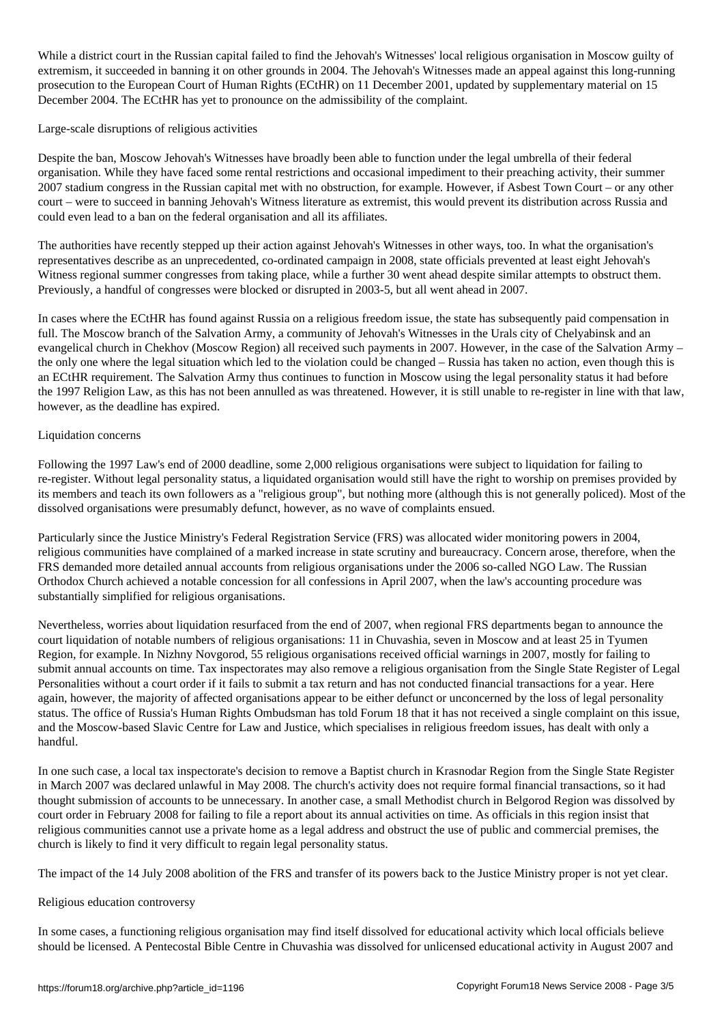while a district court in the Jehovah's Witnesses' local religious organisation in Moscow guilty of Jehovah's W extremism, it succeeded in banning it on other grounds in 2004. The Jehovah's Witnesses made an appeal against this long-running prosecution to the European Court of Human Rights (ECtHR) on 11 December 2001, updated by supplementary material on 15 December 2004. The ECtHR has yet to pronounce on the admissibility of the complaint.

### Large-scale disruptions of religious activities

Despite the ban, Moscow Jehovah's Witnesses have broadly been able to function under the legal umbrella of their federal organisation. While they have faced some rental restrictions and occasional impediment to their preaching activity, their summer 2007 stadium congress in the Russian capital met with no obstruction, for example. However, if Asbest Town Court – or any other court – were to succeed in banning Jehovah's Witness literature as extremist, this would prevent its distribution across Russia and could even lead to a ban on the federal organisation and all its affiliates.

The authorities have recently stepped up their action against Jehovah's Witnesses in other ways, too. In what the organisation's representatives describe as an unprecedented, co-ordinated campaign in 2008, state officials prevented at least eight Jehovah's Witness regional summer congresses from taking place, while a further 30 went ahead despite similar attempts to obstruct them. Previously, a handful of congresses were blocked or disrupted in 2003-5, but all went ahead in 2007.

In cases where the ECtHR has found against Russia on a religious freedom issue, the state has subsequently paid compensation in full. The Moscow branch of the Salvation Army, a community of Jehovah's Witnesses in the Urals city of Chelyabinsk and an evangelical church in Chekhov (Moscow Region) all received such payments in 2007. However, in the case of the Salvation Army – the only one where the legal situation which led to the violation could be changed – Russia has taken no action, even though this is an ECtHR requirement. The Salvation Army thus continues to function in Moscow using the legal personality status it had before the 1997 Religion Law, as this has not been annulled as was threatened. However, it is still unable to re-register in line with that law, however, as the deadline has expired.

### Liquidation concerns

Following the 1997 Law's end of 2000 deadline, some 2,000 religious organisations were subject to liquidation for failing to re-register. Without legal personality status, a liquidated organisation would still have the right to worship on premises provided by its members and teach its own followers as a "religious group", but nothing more (although this is not generally policed). Most of the dissolved organisations were presumably defunct, however, as no wave of complaints ensued.

Particularly since the Justice Ministry's Federal Registration Service (FRS) was allocated wider monitoring powers in 2004, religious communities have complained of a marked increase in state scrutiny and bureaucracy. Concern arose, therefore, when the FRS demanded more detailed annual accounts from religious organisations under the 2006 so-called NGO Law. The Russian Orthodox Church achieved a notable concession for all confessions in April 2007, when the law's accounting procedure was substantially simplified for religious organisations.

Nevertheless, worries about liquidation resurfaced from the end of 2007, when regional FRS departments began to announce the court liquidation of notable numbers of religious organisations: 11 in Chuvashia, seven in Moscow and at least 25 in Tyumen Region, for example. In Nizhny Novgorod, 55 religious organisations received official warnings in 2007, mostly for failing to submit annual accounts on time. Tax inspectorates may also remove a religious organisation from the Single State Register of Legal Personalities without a court order if it fails to submit a tax return and has not conducted financial transactions for a year. Here again, however, the majority of affected organisations appear to be either defunct or unconcerned by the loss of legal personality status. The office of Russia's Human Rights Ombudsman has told Forum 18 that it has not received a single complaint on this issue, and the Moscow-based Slavic Centre for Law and Justice, which specialises in religious freedom issues, has dealt with only a handful.

In one such case, a local tax inspectorate's decision to remove a Baptist church in Krasnodar Region from the Single State Register in March 2007 was declared unlawful in May 2008. The church's activity does not require formal financial transactions, so it had thought submission of accounts to be unnecessary. In another case, a small Methodist church in Belgorod Region was dissolved by court order in February 2008 for failing to file a report about its annual activities on time. As officials in this region insist that religious communities cannot use a private home as a legal address and obstruct the use of public and commercial premises, the church is likely to find it very difficult to regain legal personality status.

The impact of the 14 July 2008 abolition of the FRS and transfer of its powers back to the Justice Ministry proper is not yet clear.

#### Religious education controversy

In some cases, a functioning religious organisation may find itself dissolved for educational activity which local officials believe should be licensed. A Pentecostal Bible Centre in Chuvashia was dissolved for unlicensed educational activity in August 2007 and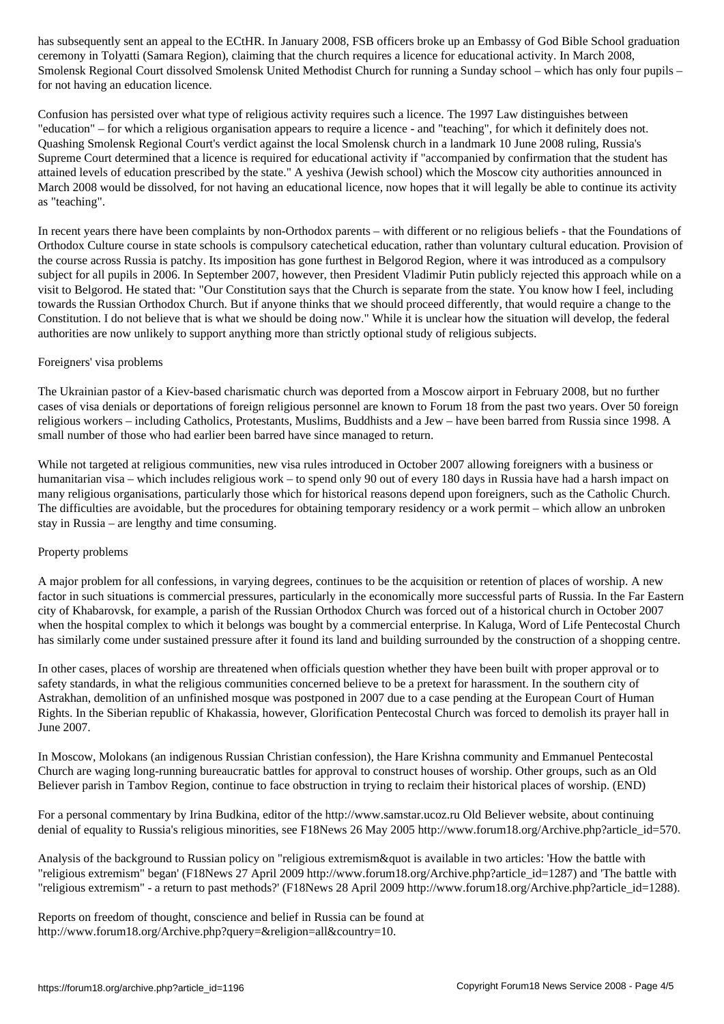ceremony in Tolyatti (Samara Region), claiming that the church requires a licence for educational activity. In March 2008, Smolensk Regional Court dissolved Smolensk United Methodist Church for running a Sunday school – which has only four pupils – for not having an education licence.

Confusion has persisted over what type of religious activity requires such a licence. The 1997 Law distinguishes between "education" – for which a religious organisation appears to require a licence - and "teaching", for which it definitely does not. Quashing Smolensk Regional Court's verdict against the local Smolensk church in a landmark 10 June 2008 ruling, Russia's Supreme Court determined that a licence is required for educational activity if "accompanied by confirmation that the student has attained levels of education prescribed by the state." A yeshiva (Jewish school) which the Moscow city authorities announced in March 2008 would be dissolved, for not having an educational licence, now hopes that it will legally be able to continue its activity as "teaching".

In recent years there have been complaints by non-Orthodox parents – with different or no religious beliefs - that the Foundations of Orthodox Culture course in state schools is compulsory catechetical education, rather than voluntary cultural education. Provision of the course across Russia is patchy. Its imposition has gone furthest in Belgorod Region, where it was introduced as a compulsory subject for all pupils in 2006. In September 2007, however, then President Vladimir Putin publicly rejected this approach while on a visit to Belgorod. He stated that: "Our Constitution says that the Church is separate from the state. You know how I feel, including towards the Russian Orthodox Church. But if anyone thinks that we should proceed differently, that would require a change to the Constitution. I do not believe that is what we should be doing now." While it is unclear how the situation will develop, the federal authorities are now unlikely to support anything more than strictly optional study of religious subjects.

### Foreigners' visa problems

The Ukrainian pastor of a Kiev-based charismatic church was deported from a Moscow airport in February 2008, but no further cases of visa denials or deportations of foreign religious personnel are known to Forum 18 from the past two years. Over 50 foreign religious workers – including Catholics, Protestants, Muslims, Buddhists and a Jew – have been barred from Russia since 1998. A small number of those who had earlier been barred have since managed to return.

While not targeted at religious communities, new visa rules introduced in October 2007 allowing foreigners with a business or humanitarian visa – which includes religious work – to spend only 90 out of every 180 days in Russia have had a harsh impact on many religious organisations, particularly those which for historical reasons depend upon foreigners, such as the Catholic Church. The difficulties are avoidable, but the procedures for obtaining temporary residency or a work permit – which allow an unbroken stay in Russia – are lengthy and time consuming.

### Property problems

A major problem for all confessions, in varying degrees, continues to be the acquisition or retention of places of worship. A new factor in such situations is commercial pressures, particularly in the economically more successful parts of Russia. In the Far Eastern city of Khabarovsk, for example, a parish of the Russian Orthodox Church was forced out of a historical church in October 2007 when the hospital complex to which it belongs was bought by a commercial enterprise. In Kaluga, Word of Life Pentecostal Church has similarly come under sustained pressure after it found its land and building surrounded by the construction of a shopping centre.

In other cases, places of worship are threatened when officials question whether they have been built with proper approval or to safety standards, in what the religious communities concerned believe to be a pretext for harassment. In the southern city of Astrakhan, demolition of an unfinished mosque was postponed in 2007 due to a case pending at the European Court of Human Rights. In the Siberian republic of Khakassia, however, Glorification Pentecostal Church was forced to demolish its prayer hall in June 2007.

In Moscow, Molokans (an indigenous Russian Christian confession), the Hare Krishna community and Emmanuel Pentecostal Church are waging long-running bureaucratic battles for approval to construct houses of worship. Other groups, such as an Old Believer parish in Tambov Region, continue to face obstruction in trying to reclaim their historical places of worship. (END)

For a personal commentary by Irina Budkina, editor of the http://www.samstar.ucoz.ru Old Believer website, about continuing denial of equality to Russia's religious minorities, see F18News 26 May 2005 http://www.forum18.org/Archive.php?article\_id=570.

Analysis of the background to Russian policy on "religious extremism & quot is available in two articles: 'How the battle with "religious extremism" began' (F18News 27 April 2009 http://www.forum18.org/Archive.php?article\_id=1287) and 'The battle with "religious extremism" - a return to past methods?' (F18News 28 April 2009 http://www.forum18.org/Archive.php?article\_id=1288).

Reports on freedom of thought, conscience and belief in Russia can be found at http://www.forum18.org/Archive.php?query=&religion=all&country=10.